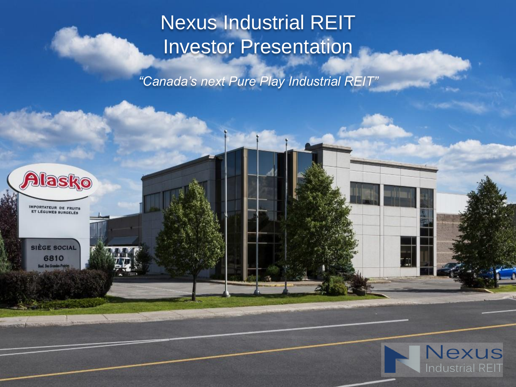# Nexus Industrial REIT Investor Presentation

*"Canada's next Pure Play Industrial REIT"*



**IMPORTATEUR DE FRUITS** ET LÉGUMES SURGELÉS

**SIÈGE SOCIAL** 6810 **Bool**, Des Grandes-Pr

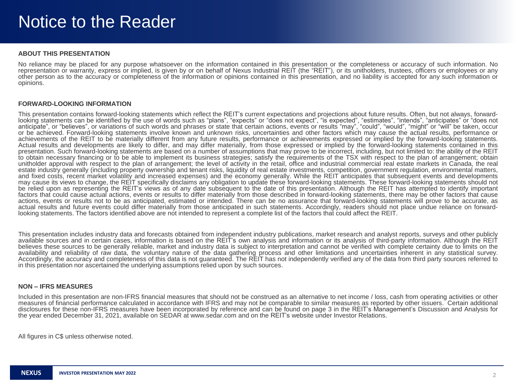#### **ABOUT THIS PRESENTATION**

No reliance may be placed for any purpose whatsoever on the information contained in this presentation or the completeness or accuracy of such information. No representation or warranty, express or implied, is given by or on behalf of Nexus Industrial REIT (the "REIT"), or its unitholders, trustees, officers or employees or any other person as to the accuracy or completeness of the information or opinions contained in this presentation, and no liability is accepted for any such information or opinions.

#### **FORWARD-LOOKING INFORMATION**

This presentation contains forward-looking statements which reflect the REIT's current expectations and projections about future results. Often, but not always, forwardlooking statements can be identified by the use of words such as "plans", "expects" or "does not expect", "is expected", "estimates", "intends", "anticipates" or "does not anticipate", or "believes", or variations of such words and phrases or state that certain actions, events or results "may", "could", "would", "might" or "will" be taken, occur or be achieved. Forward-looking statements involve known and unknown risks, uncertainties and other factors which may cause the actual results, performance or achievements of the REIT to be materially different from any future results, performance or achievements expressed or implied by the forward-looking statements. Actual results and developments are likely to differ, and may differ materially, from those expressed or implied by the forward-looking statements contained in this presentation. Such forward-looking statements are based on a number of assumptions that may prove to be incorrect, including, but not limited to: the ability of the REIT to obtain necessary financing or to be able to implement its business strategies; satisfy the requirements of the TSX with respect to the plan of arrangement; obtain unitholder approval with respect to the plan of arrangement; the level of activity in the retail, office and industrial commercial real estate markets in Canada, the real estate industry generally (including property ownership and tenant risks, liquidity of real estate investments, competition, government regulation, environmental matters, and fixed costs, recent market volatility and increased expenses) and the economy generally. While the REIT anticipates that subsequent events and developments may cause its views to change, the REIT specifically disclaims any obligation to update these forward-looking statements. These forward-looking statements should not be relied upon as representing the REIT's views as of any date subsequent to the date of this presentation. Although the REIT has attempted to identify important factors that could cause actual actions, events or results to differ materially from those described in forward-looking statements, there may be other factors that cause actions, events or results not to be as anticipated, estimated or intended. There can be no assurance that forward-looking statements will prove to be accurate, as actual results and future events could differ materially from those anticipated in such statements. Accordingly, readers should not place undue reliance on forwardlooking statements. The factors identified above are not intended to represent a complete list of the factors that could affect the REIT.

This presentation includes industry data and forecasts obtained from independent industry publications, market research and analyst reports, surveys and other publicly available sources and in certain cases, information is based on the REIT's own analysis and information or its analysis of third-party information. Although the REIT believes these sources to be generally reliable, market and industry data is subject to interpretation and cannot be verified with complete certainty due to limits on the availability and reliability of raw data, the voluntary nature of the data gathering process and other limitations and uncertainties inherent in any statistical survey. Accordingly, the accuracy and completeness of this data is not guaranteed. The REIT has not independently verified any of the data from third party sources referred to in this presentation nor ascertained the underlying assumptions relied upon by such sources.

#### **NON – IFRS MEASURES**

Included in this presentation are non-IFRS financial measures that should not be construed as an alternative to net income / loss, cash from operating activities or other measures of financial performance calculated in accordance with IFRS and may not be comparable to similar measures as reported by other issuers. Certain additional disclosures for these non-IFRS measures have been incorporated by reference and can be found on page 3 in the REIT's Management's Discussion and Analysis for the year ended December 31, 2021, available on SEDAR at www.sedar.com and on the REIT's website under Investor Relations.

All figures in C\$ unless otherwise noted.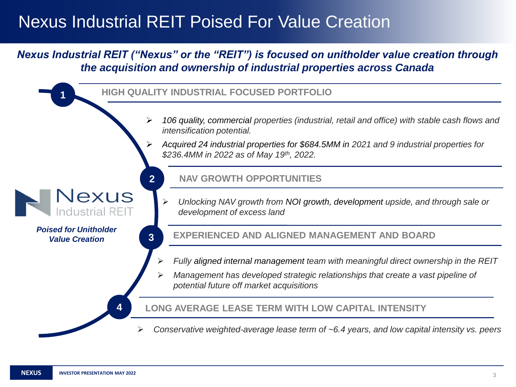## Nexus Industrial REIT Poised For Value Creation

### *Nexus Industrial REIT ("Nexus" or the "REIT") is focused on unitholder value creation through the acquisition and ownership of industrial properties across Canada*

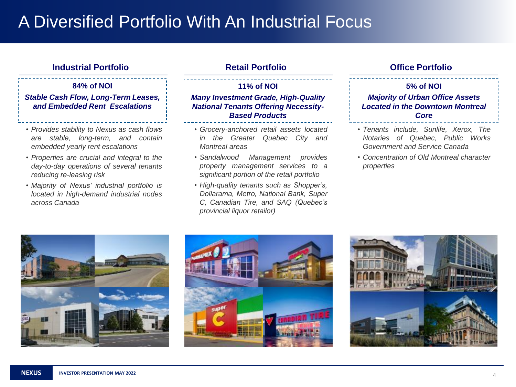## A Diversified Portfolio With An Industrial Focus

### **Industrial Portfolio Retail Portfolio Office Portfolio**

#### **84% of NOI**

#### *Stable Cash Flow, Long-Term Leases, and Embedded Rent Escalations*

- *Provides stability to Nexus as cash flows are stable, long-term, and contain embedded yearly rent escalations*
- *Properties are crucial and integral to the day-to-day operations of several tenants reducing re-leasing risk*
- *Majority of Nexus' industrial portfolio is located in high-demand industrial nodes across Canada*

#### **11% of NOI** *Many Investment Grade, High-Quality National Tenants Offering Necessity-Based Products*

- *Grocery-anchored retail assets located in the Greater Quebec City and Montreal areas*
- *Sandalwood Management provides property management services to a significant portion of the retail portfolio*
- *High-quality tenants such as Shopper's, Dollarama, Metro, National Bank, Super C, Canadian Tire, and SAQ (Quebec's provincial liquor retailor)*

#### **5% of NOI**

#### *Majority of Urban Office Assets Located in the Downtown Montreal Core*

- *Tenants include, Sunlife, Xerox, The Notaries of Quebec, Public Works Government and Service Canada*
- *Concentration of Old Montreal character properties*





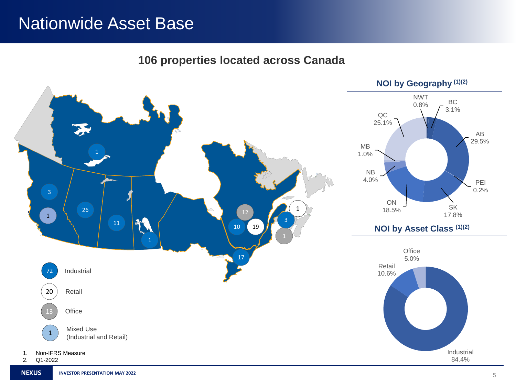### Nationwide Asset Base

**106 properties located across Canada**

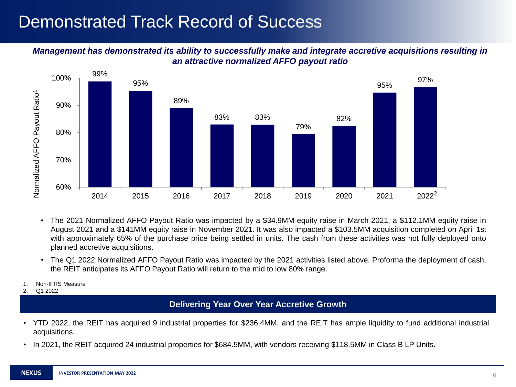## Demonstrated Track Record of Success

#### *Management has demonstrated its ability to successfully make and integrate accretive acquisitions resulting in an attractive normalized AFFO payout ratio*



- The 2021 Normalized AFFO Payout Ratio was impacted by a \$34.9MM equity raise in March 2021, a \$112.1MM equity raise in August 2021 and a \$141MM equity raise in November 2021. It was also impacted a \$103.5MM acquisition completed on April 1st with approximately 65% of the purchase price being settled in units. The cash from these activities was not fully deployed onto planned accretive acquisitions.
- The Q1 2022 Normalized AFFO Payout Ratio was impacted by the 2021 activities listed above. Proforma the deployment of cash, the REIT anticipates its AFFO Payout Ratio will return to the mid to low 80% range.
- 1. Non-IFRS Measure
- 2. Q1 2022

#### **Delivering Year Over Year Accretive Growth**

- YTD 2022, the REIT has acquired 9 industrial properties for \$236.4MM, and the REIT has ample liquidity to fund additional industrial acquisitions.
- In 2021, the REIT acquired 24 industrial properties for \$684.5MM, with vendors receiving \$118.5MM in Class B LP Units.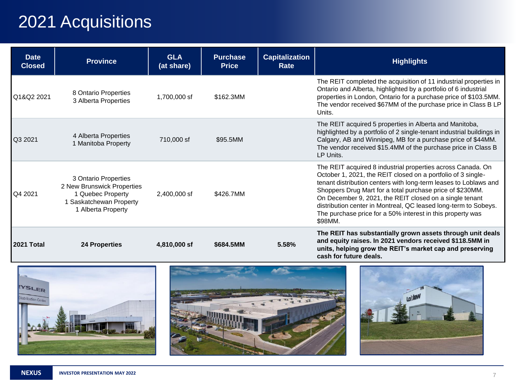# 2021 Acquisitions

| <b>Date</b><br><b>Closed</b> | <b>Province</b>                                                                                                               | <b>GLA</b><br>(at share) | <b>Purchase</b><br><b>Price</b> | <b>Capitalization</b><br>Rate | <b>Highlights</b>                                                                                                                                                                                                                                                                                                                                                                                                                                                   |
|------------------------------|-------------------------------------------------------------------------------------------------------------------------------|--------------------------|---------------------------------|-------------------------------|---------------------------------------------------------------------------------------------------------------------------------------------------------------------------------------------------------------------------------------------------------------------------------------------------------------------------------------------------------------------------------------------------------------------------------------------------------------------|
| Q1&Q2 2021                   | 8 Ontario Properties<br>3 Alberta Properties                                                                                  | 1,700,000 sf             | \$162.3MM                       |                               | The REIT completed the acquisition of 11 industrial properties in<br>Ontario and Alberta, highlighted by a portfolio of 6 industrial<br>properties in London, Ontario for a purchase price of \$103.5MM.<br>The vendor received \$67MM of the purchase price in Class B LP<br>Units.                                                                                                                                                                                |
| Q3 2021                      | 4 Alberta Properties<br>1 Manitoba Property                                                                                   | 710,000 sf               | \$95.5MM                        |                               | The REIT acquired 5 properties in Alberta and Manitoba,<br>highlighted by a portfolio of 2 single-tenant industrial buildings in<br>Calgary, AB and Winnipeg, MB for a purchase price of \$44MM.<br>The vendor received \$15.4MM of the purchase price in Class B<br>LP Units.                                                                                                                                                                                      |
| Q4 2021                      | 3 Ontario Properties<br>2 New Brunswick Properties<br>1 Quebec Property<br><b>Saskatchewan Property</b><br>1 Alberta Property | 2,400,000 sf             | \$426.7MM                       |                               | The REIT acquired 8 industrial properties across Canada. On<br>October 1, 2021, the REIT closed on a portfolio of 3 single-<br>tenant distribution centers with long-term leases to Loblaws and<br>Shoppers Drug Mart for a total purchase price of \$230MM.<br>On December 9, 2021, the REIT closed on a single tenant<br>distribution center in Montreal, QC leased long-term to Sobeys.<br>The purchase price for a 50% interest in this property was<br>\$98MM. |
| 2021 Total                   | <b>24 Properties</b>                                                                                                          | 4,810,000 sf             | \$684.5MM                       | 5.58%                         | The REIT has substantially grown assets through unit deals<br>and equity raises. In 2021 vendors received \$118.5MM in<br>units, helping grow the REIT's market cap and preserving<br>cash for future deals.                                                                                                                                                                                                                                                        |



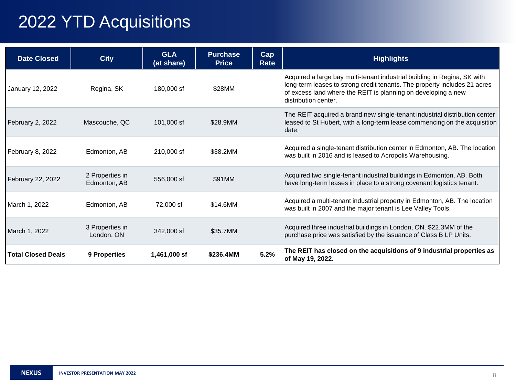# 2022 YTD Acquisitions

| <b>Date Closed</b>        | <b>City</b>                     | <b>GLA</b><br>(at share) | <b>Purchase</b><br><b>Price</b> | Cap<br>Rate | <b>Highlights</b>                                                                                                                                                                                                                              |
|---------------------------|---------------------------------|--------------------------|---------------------------------|-------------|------------------------------------------------------------------------------------------------------------------------------------------------------------------------------------------------------------------------------------------------|
| January 12, 2022          | Regina, SK                      | 180,000 sf               | \$28MM                          |             | Acquired a large bay multi-tenant industrial building in Regina, SK with<br>long-term leases to strong credit tenants. The property includes 21 acres<br>of excess land where the REIT is planning on developing a new<br>distribution center. |
| February 2, 2022          | Mascouche, QC                   | 101,000 sf               | \$28.9MM                        |             | The REIT acquired a brand new single-tenant industrial distribution center<br>leased to St Hubert, with a long-term lease commencing on the acquisition<br>date.                                                                               |
| February 8, 2022          | Edmonton, AB                    | 210,000 sf               | \$38,2MM                        |             | Acquired a single-tenant distribution center in Edmonton, AB. The location<br>was built in 2016 and is leased to Acropolis Warehousing.                                                                                                        |
| February 22, 2022         | 2 Properties in<br>Edmonton, AB | 556,000 sf               | \$91MM                          |             | Acquired two single-tenant industrial buildings in Edmonton, AB. Both<br>have long-term leases in place to a strong covenant logistics tenant.                                                                                                 |
| March 1, 2022             | Edmonton, AB                    | 72,000 sf                | \$14.6MM                        |             | Acquired a multi-tenant industrial property in Edmonton, AB. The location<br>was built in 2007 and the major tenant is Lee Valley Tools.                                                                                                       |
| March 1, 2022             | 3 Properties in<br>London, ON   | 342,000 sf               | \$35.7MM                        |             | Acquired three industrial buildings in London, ON. \$22.3MM of the<br>purchase price was satisfied by the issuance of Class B LP Units.                                                                                                        |
| <b>Total Closed Deals</b> | 9 Properties                    | 1,461,000 sf             | \$236.4MM                       | 5.2%        | The REIT has closed on the acquisitions of 9 industrial properties as<br>of May 19, 2022.                                                                                                                                                      |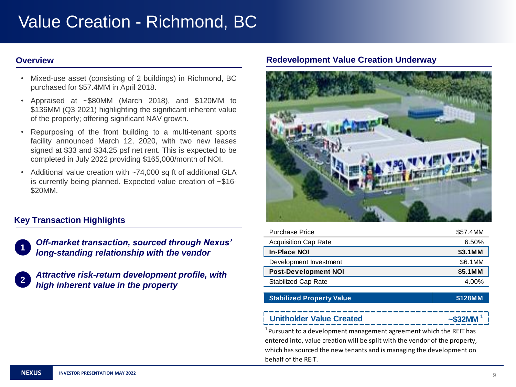# Value Creation - Richmond, BC

- Mixed-use asset (consisting of 2 buildings) in Richmond, BC purchased for \$57.4MM in April 2018.
- Appraised at ~\$80MM (March 2018), and \$120MM to \$136MM (Q3 2021) highlighting the significant inherent value of the property; offering significant NAV growth.
- Repurposing of the front building to a multi-tenant sports facility announced March 12, 2020, with two new leases signed at \$33 and \$34.25 psf net rent. This is expected to be completed in July 2022 providing \$165,000/month of NOI.
- Additional value creation with ~74,000 sq ft of additional GLA is currently being planned. Expected value creation of ~\$16- \$20MM.

### **Key Transaction Highlights**

*Off-market transaction, sourced through Nexus' long-standing relationship with the vendor*

| $\blacksquare$ | Attractive risk-return development profile, with |  |  |  |  |  |  |  |
|----------------|--------------------------------------------------|--|--|--|--|--|--|--|
|                | high inherent value in the property              |  |  |  |  |  |  |  |

#### **Overview Coverview Coverview Coverview Coverview Redevelopment Value Creation Underway**



| <b>Purchase Price</b>       | \$57.4MM |
|-----------------------------|----------|
| <b>Acquisition Cap Rate</b> | 6.50%    |
| <b>In-Place NOI</b>         | \$3.1MM  |
| Development Investment      | \$6.1MM  |
| <b>Post-Development NOI</b> | \$5.1MM  |
| Stabilized Cap Rate         | 4.00%    |
|                             |          |

#### **Stabilized Property Value \$128MM**

#### **Unitholder Value Created**

 $1$ Pursuant to a development management agreement which the REIT has entered into, value creation will be split with the vendor of the property, which has sourced the new tenants and is managing the development on behalf of the REIT.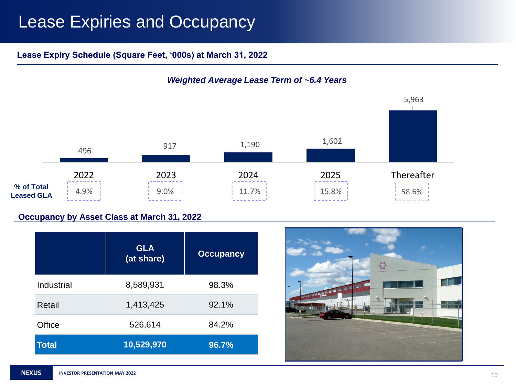## Lease Expiries and Occupancy

### **Lease Expiry Schedule (Square Feet, '000s) at March 31, 2022**



### *Weighted Average Lease Term of ~6.4 Years*

#### **Occupancy by Asset Class at March 31, 2022**

|              | <b>GLA</b><br>(at share) | <b>Occupancy</b> |
|--------------|--------------------------|------------------|
| Industrial   | 8,589,931                | 98.3%            |
| Retail       | 1,413,425                | 92.1%            |
| Office       | 526,614                  | 84.2%            |
| <b>Total</b> | 10,529,970               | 96.7%            |

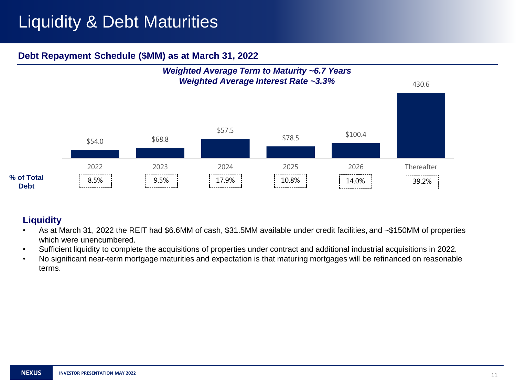# Liquidity & Debt Maturities

### **Debt Repayment Schedule (\$MM) as at March 31, 2022**



### **Liquidity**

- As at March 31, 2022 the REIT had \$6.6MM of cash, \$31.5MM available under credit facilities, and ~\$150MM of properties which were unencumbered.
- Sufficient liquidity to complete the acquisitions of properties under contract and additional industrial acquisitions in 2022.
- No significant near-term mortgage maturities and expectation is that maturing mortgages will be refinanced on reasonable terms.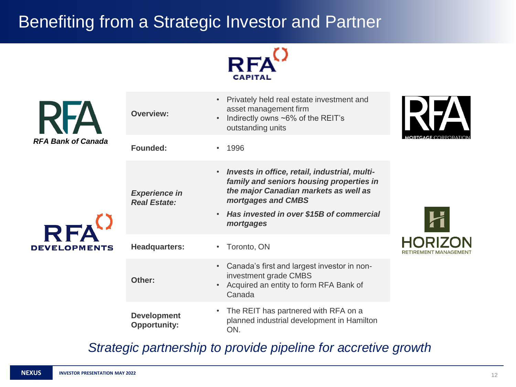# Benefiting from a Strategic Investor and Partner





*Strategic partnership to provide pipeline for accretive growth*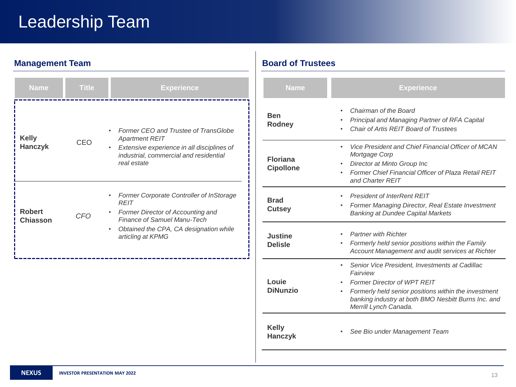# Leadership Team

### **Management Team Board of Trustees**

| <b>Name</b>                      | <b>Title</b> | <b>Experience</b>                                                                                                                                                                               |  |  |  |  |  |  |  |  |
|----------------------------------|--------------|-------------------------------------------------------------------------------------------------------------------------------------------------------------------------------------------------|--|--|--|--|--|--|--|--|
| <b>Kelly</b><br><b>Hanczyk</b>   | CEO          | Former CEO and Trustee of TransGlobe<br><b>Apartment REIT</b><br>Extensive experience in all disciplines of<br>$\bullet$<br>industrial, commercial and residential<br>real estate               |  |  |  |  |  |  |  |  |
| <b>Robert</b><br><b>Chiasson</b> | CFO          | Former Corporate Controller of InStorage<br><b>RFIT</b><br>Former Director of Accounting and<br>Finance of Samuel Manu-Tech<br>Obtained the CPA, CA designation while<br>٠<br>articling at KPMG |  |  |  |  |  |  |  |  |

| <b>Name</b>                         | <b>Experience</b>                                                                                                                                                                                                                                     |  |  |  |  |  |  |  |
|-------------------------------------|-------------------------------------------------------------------------------------------------------------------------------------------------------------------------------------------------------------------------------------------------------|--|--|--|--|--|--|--|
| Ben<br><b>Rodney</b>                | Chairman of the Board<br>Principal and Managing Partner of RFA Capital<br>Chair of Artis REIT Board of Trustees                                                                                                                                       |  |  |  |  |  |  |  |
| <b>Floriana</b><br><b>Cipollone</b> | Vice President and Chief Financial Officer of MCAN<br>٠<br>Mortgage Corp<br>Director at Minto Group Inc<br>Former Chief Financial Officer of Plaza Retail REIT<br>$\bullet$<br>and Charter REIT                                                       |  |  |  |  |  |  |  |
| <b>Brad</b><br><b>Cutsey</b>        | <b>President of InterRent RFIT</b><br>Former Managing Director, Real Estate Investment<br><b>Banking at Dundee Capital Markets</b>                                                                                                                    |  |  |  |  |  |  |  |
| Justine<br><b>Delisle</b>           | <b>Partner with Richter</b><br>Formerly held senior positions within the Family<br>Account Management and audit services at Richter                                                                                                                   |  |  |  |  |  |  |  |
| Louie<br><b>DiNunzio</b>            | Senior Vice President, Investments at Cadillac<br>Fairview<br><b>Former Director of WPT REIT</b><br>Formerly held senior positions within the investment<br>$\bullet$<br>banking industry at both BMO Nesbitt Burns Inc. and<br>Merrill Lynch Canada. |  |  |  |  |  |  |  |
| <b>Kelly</b><br><b>Hanczyk</b>      | See Bio under Management Team                                                                                                                                                                                                                         |  |  |  |  |  |  |  |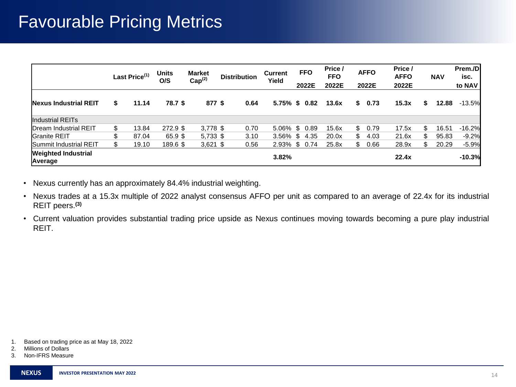### Favourable Pricing Metrics

|                                       | Last Price <sup>(1)</sup> | <b>Units</b><br>O/S | <b>Market</b><br>Cap <sup>(2)</sup> | <b>Distribution</b> | <b>Current</b><br>Yield | <b>FFO</b><br>2022E | Price /<br><b>FFO</b><br>2022E | <b>AFFO</b><br>2022E | Price /<br><b>AFFO</b><br>2022E |    | <b>NAV</b> | Prem./D<br>isc.<br>to NAV |
|---------------------------------------|---------------------------|---------------------|-------------------------------------|---------------------|-------------------------|---------------------|--------------------------------|----------------------|---------------------------------|----|------------|---------------------------|
| <b>Nexus Industrial REIT</b>          | \$<br>11.14               | 78.7 \$             | 877 \$                              | 0.64                |                         | 5.75% \$ 0.82       | 13.6x                          | \$<br>0.73           | 15.3x                           | s. | 12.88      | $-13.5%$                  |
| Industrial REITs                      |                           |                     |                                     |                     |                         |                     |                                |                      |                                 |    |            |                           |
| Dream Industrial REIT                 | \$<br>13.84               | $272.9$ \$          | $3,778$ \$                          | 0.70                |                         | 5.06% \$ 0.89       | 15.6x                          | \$0.79               | 17.5x                           | \$ | 16.51      | $-16.2%$                  |
| <b>IGranite REIT</b>                  | \$<br>87.04               | 65.9 \$             | $5,733$ \$                          | 3.10                | $3.56\%$ \$             | 4.35                | 20.0x                          | \$<br>4.03           | 21.6x                           | \$ | 95.83      | $-9.2%$                   |
| <b>Summit Industrial REIT</b>         | \$<br>19.10               | 189.6 \$            | $3,621$ \$                          | 0.56                | 2.93% \$ 0.74           |                     | 25.8x                          | \$<br>0.66           | 28.9x                           | \$ | 20.29      | $-5.9%$                   |
| <b>Weighted Industrial</b><br>Average |                           |                     |                                     |                     | 3.82%                   |                     |                                |                      | 22.4x                           |    |            | $-10.3%$                  |

• Nexus currently has an approximately 84.4% industrial weighting.

• Nexus trades at a 15.3x multiple of 2022 analyst consensus AFFO per unit as compared to an average of 22.4x for its industrial REIT peers. **(3)**

• Current valuation provides substantial trading price upside as Nexus continues moving towards becoming a pure play industrial REIT.

<sup>1.</sup> Based on trading price as at May 18, 2022

<sup>2.</sup> Millions of Dollars

<sup>3.</sup> Non-IFRS Measure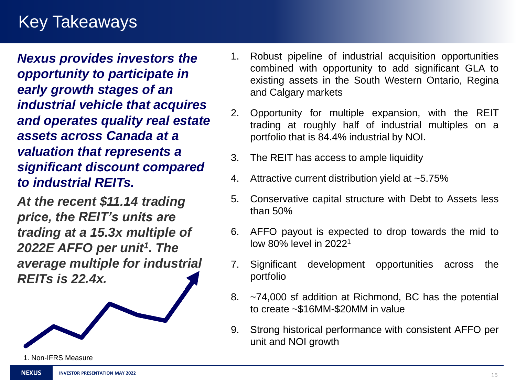## Key Takeaways

*Nexus provides investors the opportunity to participate in early growth stages of an industrial vehicle that acquires and operates quality real estate assets across Canada at a valuation that represents a significant discount compared to industrial REITs.* 

*At the recent \$11.14 trading price, the REIT's units are trading at a 15.3x multiple of 2022E AFFO per unit<sup>1</sup> . The average multiple for industrial REITs is 22.4x.* 

- 1. Robust pipeline of industrial acquisition opportunities combined with opportunity to add significant GLA to existing assets in the South Western Ontario, Regina and Calgary markets
- 2. Opportunity for multiple expansion, with the REIT trading at roughly half of industrial multiples on a portfolio that is 84.4% industrial by NOI.
- 3. The REIT has access to ample liquidity
- 4. Attractive current distribution yield at ~5.75%
- 5. Conservative capital structure with Debt to Assets less than 50%
- 6. AFFO payout is expected to drop towards the mid to low 80% level in 2022<sup>1</sup>
- 7. Significant development opportunities across the portfolio
- 8. ~74,000 sf addition at Richmond, BC has the potential to create ~\$16MM-\$20MM in value
- 9. Strong historical performance with consistent AFFO per unit and NOI growth

1. Non-IFRS Measure